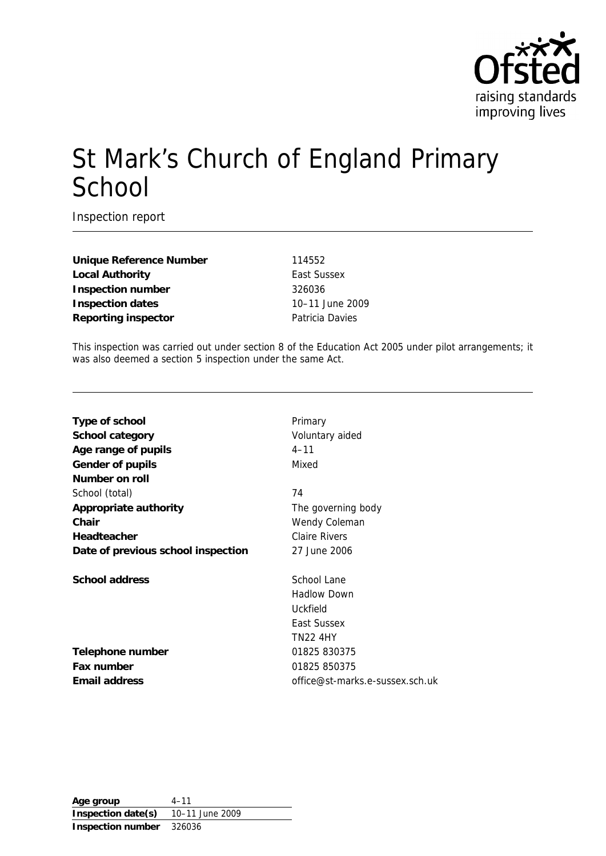

# St Mark's Church of England Primary School

Inspection report

**Unique Reference Number** 114552 Local Authority **East Sussex Inspection number** 326036 **Inspection dates** 10–11 June 2009 **Reporting inspector Patricia Davies** 

This inspection was carried out under section 8 of the Education Act 2005 under pilot arrangements; it was also deemed a section 5 inspection under the same Act.

| Type of school                     | Primary                         |
|------------------------------------|---------------------------------|
| School category                    | Voluntary aided                 |
| Age range of pupils                | $4 - 11$                        |
| Gender of pupils                   | Mixed                           |
| Number on roll                     |                                 |
| School (total)                     | 74                              |
| Appropriate authority              | The governing body              |
| Chair                              | Wendy Coleman                   |
| Headteacher                        | <b>Claire Rivers</b>            |
| Date of previous school inspection | 27 June 2006                    |
| School address                     | School Lane                     |
|                                    | <b>Hadlow Down</b>              |
|                                    | Uckfield                        |
|                                    | East Sussex                     |
|                                    | <b>TN22 4HY</b>                 |
| Telephone number                   | 01825 830375                    |
| Fax number                         | 01825 850375                    |
| Email address                      | office@st-marks.e-sussex.sch.uk |
|                                    |                                 |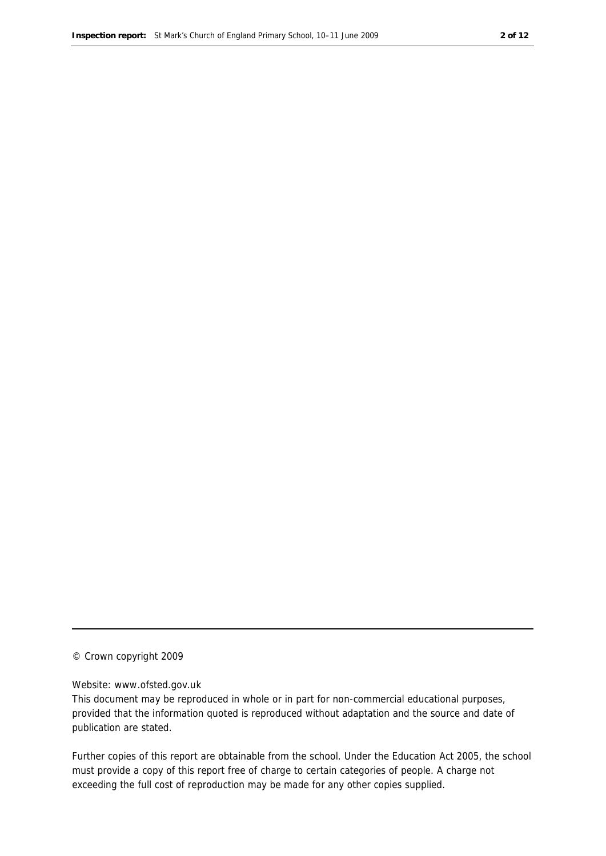#### © Crown copyright 2009

#### Website: www.ofsted.gov.uk

This document may be reproduced in whole or in part for non-commercial educational purposes, provided that the information quoted is reproduced without adaptation and the source and date of publication are stated.

Further copies of this report are obtainable from the school. Under the Education Act 2005, the school must provide a copy of this report free of charge to certain categories of people. A charge not exceeding the full cost of reproduction may be made for any other copies supplied.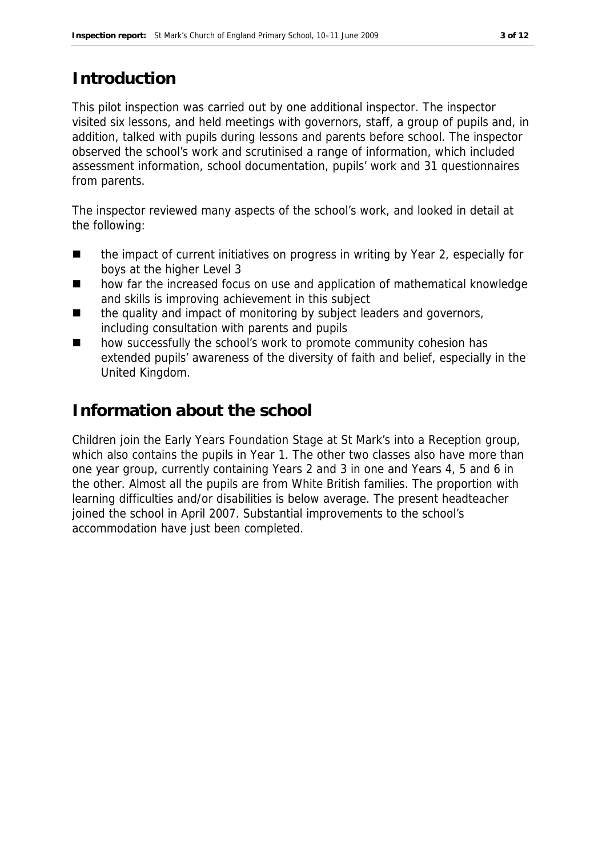# **Introduction**

This pilot inspection was carried out by one additional inspector. The inspector visited six lessons, and held meetings with governors, staff, a group of pupils and, in addition, talked with pupils during lessons and parents before school. The inspector observed the school's work and scrutinised a range of information, which included assessment information, school documentation, pupils' work and 31 questionnaires from parents.

The inspector reviewed many aspects of the school's work, and looked in detail at the following:

- the impact of current initiatives on progress in writing by Year 2, especially for boys at the higher Level 3
- how far the increased focus on use and application of mathematical knowledge and skills is improving achievement in this subject
- $\blacksquare$  the quality and impact of monitoring by subject leaders and governors, including consultation with parents and pupils
- how successfully the school's work to promote community cohesion has extended pupils' awareness of the diversity of faith and belief, especially in the United Kingdom.

## **Information about the school**

Children join the Early Years Foundation Stage at St Mark's into a Reception group, which also contains the pupils in Year 1. The other two classes also have more than one year group, currently containing Years 2 and 3 in one and Years 4, 5 and 6 in the other. Almost all the pupils are from White British families. The proportion with learning difficulties and/or disabilities is below average. The present headteacher joined the school in April 2007. Substantial improvements to the school's accommodation have just been completed.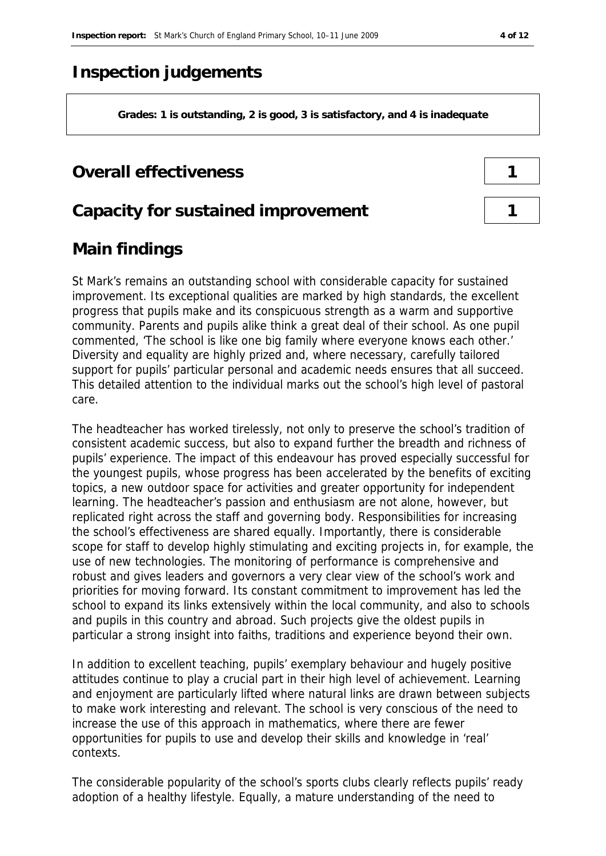# **Inspection judgements**

**Grades: 1 is outstanding, 2 is good, 3 is satisfactory, and 4 is inadequate**

#### **Overall effectiveness 1**

#### **Capacity for sustained improvement 1**

# **Main findings**

St Mark's remains an outstanding school with considerable capacity for sustained improvement. Its exceptional qualities are marked by high standards, the excellent progress that pupils make and its conspicuous strength as a warm and supportive community. Parents and pupils alike think a great deal of their school. As one pupil commented, 'The school is like one big family where everyone knows each other.' Diversity and equality are highly prized and, where necessary, carefully tailored support for pupils' particular personal and academic needs ensures that all succeed. This detailed attention to the individual marks out the school's high level of pastoral care.

The headteacher has worked tirelessly, not only to preserve the school's tradition of consistent academic success, but also to expand further the breadth and richness of pupils' experience. The impact of this endeavour has proved especially successful for the youngest pupils, whose progress has been accelerated by the benefits of exciting topics, a new outdoor space for activities and greater opportunity for independent learning. The headteacher's passion and enthusiasm are not alone, however, but replicated right across the staff and governing body. Responsibilities for increasing the school's effectiveness are shared equally. Importantly, there is considerable scope for staff to develop highly stimulating and exciting projects in, for example, the use of new technologies. The monitoring of performance is comprehensive and robust and gives leaders and governors a very clear view of the school's work and priorities for moving forward. Its constant commitment to improvement has led the school to expand its links extensively within the local community, and also to schools and pupils in this country and abroad. Such projects give the oldest pupils in particular a strong insight into faiths, traditions and experience beyond their own.

In addition to excellent teaching, pupils' exemplary behaviour and hugely positive attitudes continue to play a crucial part in their high level of achievement. Learning and enjoyment are particularly lifted where natural links are drawn between subjects to make work interesting and relevant. The school is very conscious of the need to increase the use of this approach in mathematics, where there are fewer opportunities for pupils to use and develop their skills and knowledge in 'real' contexts.

The considerable popularity of the school's sports clubs clearly reflects pupils' ready adoption of a healthy lifestyle. Equally, a mature understanding of the need to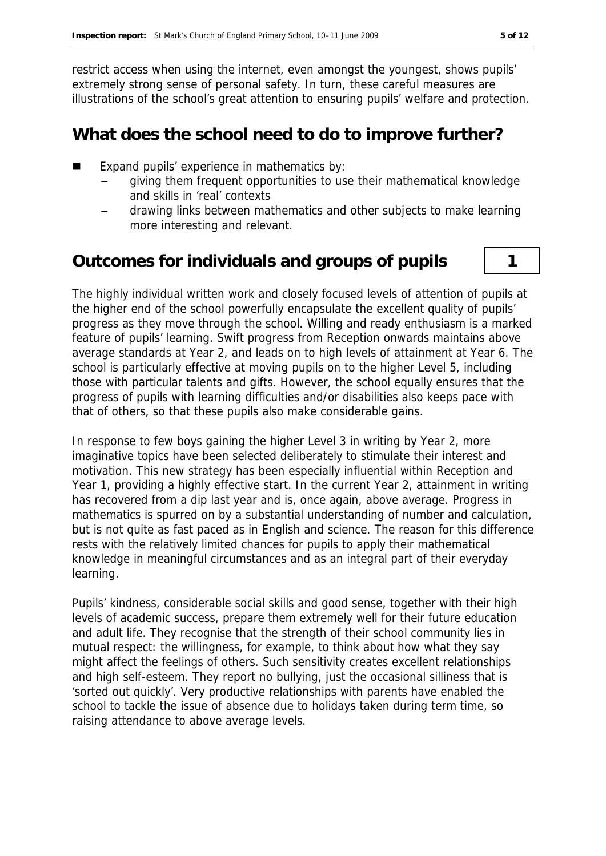restrict access when using the internet, even amongst the youngest, shows pupils' extremely strong sense of personal safety. In turn, these careful measures are illustrations of the school's great attention to ensuring pupils' welfare and protection.

#### **What does the school need to do to improve further?**

- Expand pupils' experience in mathematics by:
	- giving them frequent opportunities to use their mathematical knowledge and skills in 'real' contexts
	- drawing links between mathematics and other subjects to make learning more interesting and relevant.

#### **Outcomes for individuals and groups of pupils 1**

The highly individual written work and closely focused levels of attention of pupils at the higher end of the school powerfully encapsulate the excellent quality of pupils' progress as they move through the school. Willing and ready enthusiasm is a marked feature of pupils' learning. Swift progress from Reception onwards maintains above average standards at Year 2, and leads on to high levels of attainment at Year 6. The school is particularly effective at moving pupils on to the higher Level 5, including those with particular talents and gifts. However, the school equally ensures that the progress of pupils with learning difficulties and/or disabilities also keeps pace with that of others, so that these pupils also make considerable gains.

In response to few boys gaining the higher Level 3 in writing by Year 2, more imaginative topics have been selected deliberately to stimulate their interest and motivation. This new strategy has been especially influential within Reception and Year 1, providing a highly effective start. In the current Year 2, attainment in writing has recovered from a dip last year and is, once again, above average. Progress in mathematics is spurred on by a substantial understanding of number and calculation, but is not quite as fast paced as in English and science. The reason for this difference rests with the relatively limited chances for pupils to apply their mathematical knowledge in meaningful circumstances and as an integral part of their everyday learning.

Pupils' kindness, considerable social skills and good sense, together with their high levels of academic success, prepare them extremely well for their future education and adult life. They recognise that the strength of their school community lies in mutual respect: the willingness, for example, to think about how what they say might affect the feelings of others. Such sensitivity creates excellent relationships and high self-esteem. They report no bullying, just the occasional silliness that is 'sorted out quickly'. Very productive relationships with parents have enabled the school to tackle the issue of absence due to holidays taken during term time, so raising attendance to above average levels.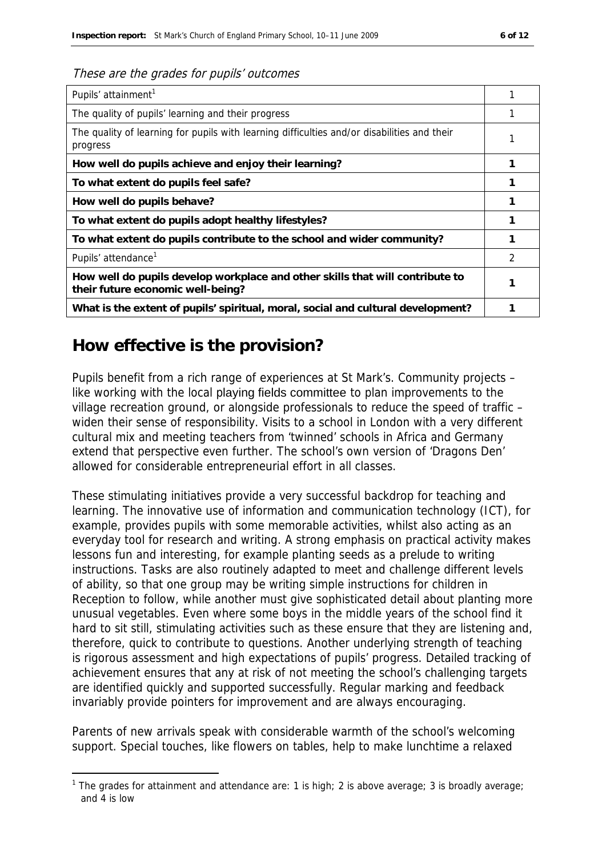| Pupils' attainment <sup>1</sup>                                                                                    |   |
|--------------------------------------------------------------------------------------------------------------------|---|
| The quality of pupils' learning and their progress                                                                 |   |
| The quality of learning for pupils with learning difficulties and/or disabilities and their<br>progress            |   |
| How well do pupils achieve and enjoy their learning?                                                               |   |
| To what extent do pupils feel safe?                                                                                |   |
| How well do pupils behave?                                                                                         |   |
| To what extent do pupils adopt healthy lifestyles?                                                                 |   |
| To what extent do pupils contribute to the school and wider community?                                             |   |
| Pupils' attendance <sup>1</sup>                                                                                    | 2 |
| How well do pupils develop workplace and other skills that will contribute to<br>their future economic well-being? |   |
| What is the extent of pupils' spiritual, moral, social and cultural development?                                   |   |

### **How effective is the provision?**

-

Pupils benefit from a rich range of experiences at St Mark's. Community projects – like working with the local playing fields committee to plan improvements to the village recreation ground, or alongside professionals to reduce the speed of traffic – widen their sense of responsibility. Visits to a school in London with a very different cultural mix and meeting teachers from 'twinned' schools in Africa and Germany extend that perspective even further. The school's own version of 'Dragons Den' allowed for considerable entrepreneurial effort in all classes.

These stimulating initiatives provide a very successful backdrop for teaching and learning. The innovative use of information and communication technology (ICT), for example, provides pupils with some memorable activities, whilst also acting as an everyday tool for research and writing. A strong emphasis on practical activity makes lessons fun and interesting, for example planting seeds as a prelude to writing instructions. Tasks are also routinely adapted to meet and challenge different levels of ability, so that one group may be writing simple instructions for children in Reception to follow, while another must give sophisticated detail about planting more unusual vegetables. Even where some boys in the middle years of the school find it hard to sit still, stimulating activities such as these ensure that they are listening and, therefore, quick to contribute to questions. Another underlying strength of teaching is rigorous assessment and high expectations of pupils' progress. Detailed tracking of achievement ensures that any at risk of not meeting the school's challenging targets are identified quickly and supported successfully. Regular marking and feedback invariably provide pointers for improvement and are always encouraging.

Parents of new arrivals speak with considerable warmth of the school's welcoming support. Special touches, like flowers on tables, help to make lunchtime a relaxed

<sup>&</sup>lt;sup>1</sup> The grades for attainment and attendance are: 1 is high; 2 is above average; 3 is broadly average; and 4 is low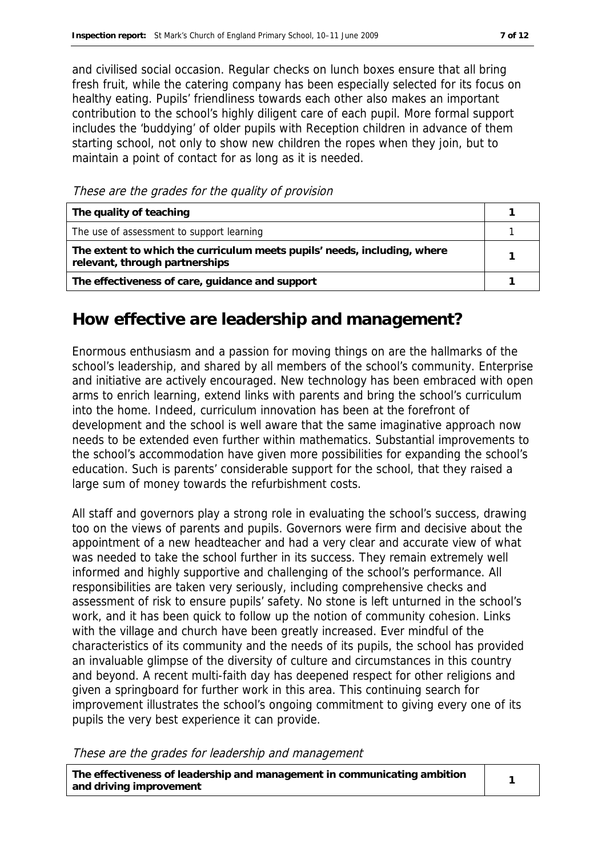and civilised social occasion. Regular checks on lunch boxes ensure that all bring fresh fruit, while the catering company has been especially selected for its focus on healthy eating. Pupils' friendliness towards each other also makes an important contribution to the school's highly diligent care of each pupil. More formal support includes the 'buddying' of older pupils with Reception children in advance of them starting school, not only to show new children the ropes when they join, but to maintain a point of contact for as long as it is needed.

These are the grades for the quality of provision

| The quality of teaching                                                                                    |  |
|------------------------------------------------------------------------------------------------------------|--|
| The use of assessment to support learning                                                                  |  |
| The extent to which the curriculum meets pupils' needs, including, where<br>relevant, through partnerships |  |
| The effectiveness of care, guidance and support                                                            |  |

#### **How effective are leadership and management?**

Enormous enthusiasm and a passion for moving things on are the hallmarks of the school's leadership, and shared by all members of the school's community. Enterprise and initiative are actively encouraged. New technology has been embraced with open arms to enrich learning, extend links with parents and bring the school's curriculum into the home. Indeed, curriculum innovation has been at the forefront of development and the school is well aware that the same imaginative approach now needs to be extended even further within mathematics. Substantial improvements to the school's accommodation have given more possibilities for expanding the school's education. Such is parents' considerable support for the school, that they raised a large sum of money towards the refurbishment costs.

All staff and governors play a strong role in evaluating the school's success, drawing too on the views of parents and pupils. Governors were firm and decisive about the appointment of a new headteacher and had a very clear and accurate view of what was needed to take the school further in its success. They remain extremely well informed and highly supportive and challenging of the school's performance. All responsibilities are taken very seriously, including comprehensive checks and assessment of risk to ensure pupils' safety. No stone is left unturned in the school's work, and it has been quick to follow up the notion of community cohesion. Links with the village and church have been greatly increased. Ever mindful of the characteristics of its community and the needs of its pupils, the school has provided an invaluable glimpse of the diversity of culture and circumstances in this country and beyond. A recent multi-faith day has deepened respect for other religions and given a springboard for further work in this area. This continuing search for improvement illustrates the school's ongoing commitment to giving every one of its pupils the very best experience it can provide.

These are the grades for leadership and management

**The effectiveness of leadership and management in communicating ambition and driving improvement <sup>1</sup>**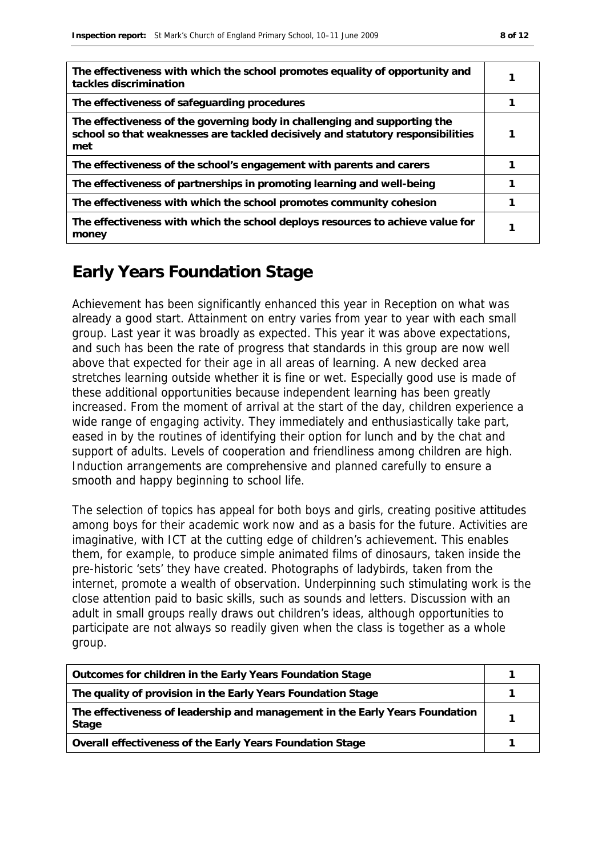| The effectiveness with which the school promotes equality of opportunity and<br>tackles discrimination                                                              |  |
|---------------------------------------------------------------------------------------------------------------------------------------------------------------------|--|
| The effectiveness of safeguarding procedures                                                                                                                        |  |
| The effectiveness of the governing body in challenging and supporting the<br>school so that weaknesses are tackled decisively and statutory responsibilities<br>met |  |
| The effectiveness of the school's engagement with parents and carers                                                                                                |  |
| The effectiveness of partnerships in promoting learning and well-being                                                                                              |  |
| The effectiveness with which the school promotes community cohesion                                                                                                 |  |
| The effectiveness with which the school deploys resources to achieve value for<br>money                                                                             |  |

# **Early Years Foundation Stage**

Achievement has been significantly enhanced this year in Reception on what was already a good start. Attainment on entry varies from year to year with each small group. Last year it was broadly as expected. This year it was above expectations, and such has been the rate of progress that standards in this group are now well above that expected for their age in all areas of learning. A new decked area stretches learning outside whether it is fine or wet. Especially good use is made of these additional opportunities because independent learning has been greatly increased. From the moment of arrival at the start of the day, children experience a wide range of engaging activity. They immediately and enthusiastically take part, eased in by the routines of identifying their option for lunch and by the chat and support of adults. Levels of cooperation and friendliness among children are high. Induction arrangements are comprehensive and planned carefully to ensure a smooth and happy beginning to school life.

The selection of topics has appeal for both boys and girls, creating positive attitudes among boys for their academic work now and as a basis for the future. Activities are imaginative, with ICT at the cutting edge of children's achievement. This enables them, for example, to produce simple animated films of dinosaurs, taken inside the pre-historic 'sets' they have created. Photographs of ladybirds, taken from the internet, promote a wealth of observation. Underpinning such stimulating work is the close attention paid to basic skills, such as sounds and letters. Discussion with an adult in small groups really draws out children's ideas, although opportunities to participate are not always so readily given when the class is together as a whole group.

| Outcomes for children in the Early Years Foundation Stage                             |  |
|---------------------------------------------------------------------------------------|--|
| The quality of provision in the Early Years Foundation Stage                          |  |
| The effectiveness of leadership and management in the Early Years Foundation<br>Stage |  |
| Overall effectiveness of the Early Years Foundation Stage                             |  |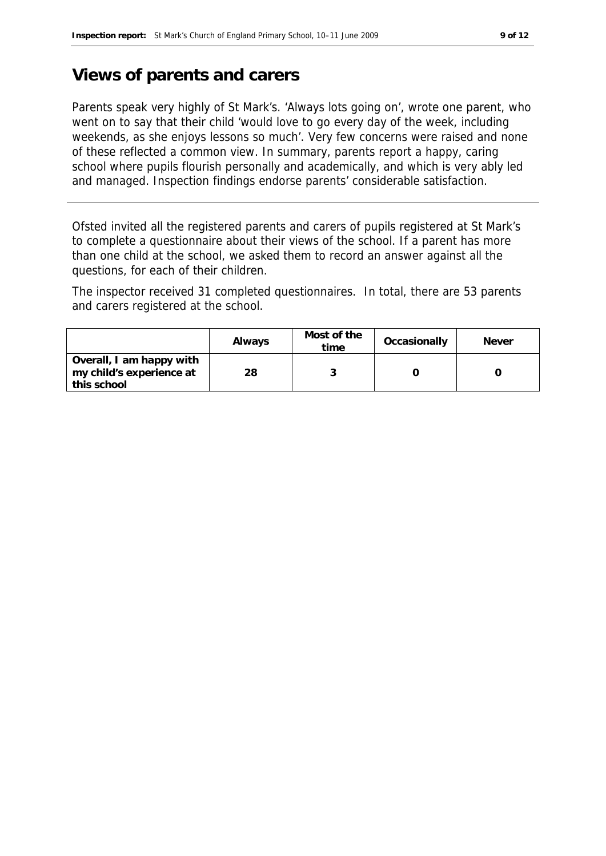### **Views of parents and carers**

Parents speak very highly of St Mark's. 'Always lots going on', wrote one parent, who went on to say that their child 'would love to go every day of the week, including weekends, as she enjoys lessons so much'. Very few concerns were raised and none of these reflected a common view. In summary, parents report a happy, caring school where pupils flourish personally and academically, and which is very ably led and managed. Inspection findings endorse parents' considerable satisfaction.

Ofsted invited all the registered parents and carers of pupils registered at St Mark's to complete a questionnaire about their views of the school. If a parent has more than one child at the school, we asked them to record an answer against all the questions, for each of their children.

The inspector received 31 completed questionnaires. In total, there are 53 parents and carers registered at the school.

|                                                                     | Always | Most of the<br>time | Occasionally | <b>Never</b> |
|---------------------------------------------------------------------|--------|---------------------|--------------|--------------|
| Overall, I am happy with<br>my child's experience at<br>this school | 28     |                     |              |              |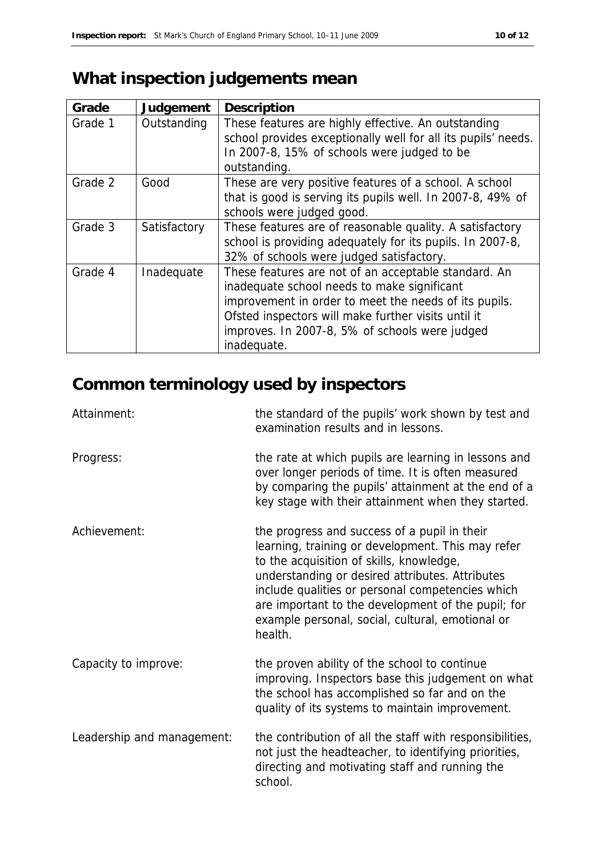# **What inspection judgements mean**

| Grade   | Judgement    | Description                                                   |
|---------|--------------|---------------------------------------------------------------|
| Grade 1 | Outstanding  | These features are highly effective. An outstanding           |
|         |              | school provides exceptionally well for all its pupils' needs. |
|         |              | In 2007-8, 15% of schools were judged to be                   |
|         |              | outstanding.                                                  |
| Grade 2 | Good         | These are very positive features of a school. A school        |
|         |              | that is good is serving its pupils well. In 2007-8, 49% of    |
|         |              | schools were judged good.                                     |
| Grade 3 | Satisfactory | These features are of reasonable quality. A satisfactory      |
|         |              | school is providing adequately for its pupils. In 2007-8,     |
|         |              | 32% of schools were judged satisfactory.                      |
| Grade 4 | Inadequate   | These features are not of an acceptable standard. An          |
|         |              | inadequate school needs to make significant                   |
|         |              | improvement in order to meet the needs of its pupils.         |
|         |              | Ofsted inspectors will make further visits until it           |
|         |              | improves. In 2007-8, 5% of schools were judged                |
|         |              | inadequate.                                                   |

# **Common terminology used by inspectors**

| Attainment:                | the standard of the pupils' work shown by test and<br>examination results and in lessons.                                                                                                                                                                                                                                                                                 |
|----------------------------|---------------------------------------------------------------------------------------------------------------------------------------------------------------------------------------------------------------------------------------------------------------------------------------------------------------------------------------------------------------------------|
| Progress:                  | the rate at which pupils are learning in lessons and<br>over longer periods of time. It is often measured<br>by comparing the pupils' attainment at the end of a<br>key stage with their attainment when they started.                                                                                                                                                    |
| Achievement:               | the progress and success of a pupil in their<br>learning, training or development. This may refer<br>to the acquisition of skills, knowledge,<br>understanding or desired attributes. Attributes<br>include qualities or personal competencies which<br>are important to the development of the pupil; for<br>example personal, social, cultural, emotional or<br>health. |
| Capacity to improve:       | the proven ability of the school to continue<br>improving. Inspectors base this judgement on what<br>the school has accomplished so far and on the<br>quality of its systems to maintain improvement.                                                                                                                                                                     |
| Leadership and management: | the contribution of all the staff with responsibilities,<br>not just the headteacher, to identifying priorities,<br>directing and motivating staff and running the<br>school.                                                                                                                                                                                             |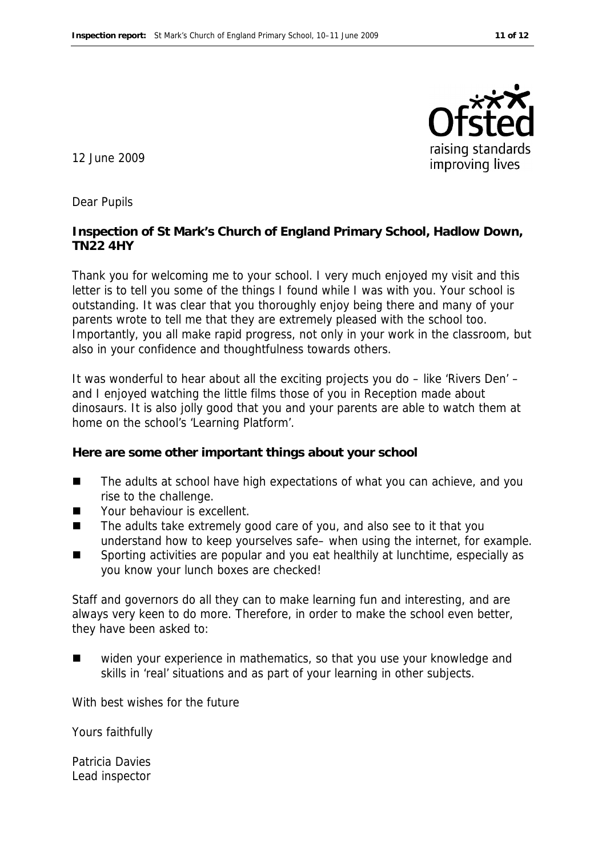

12 June 2009

Dear Pupils

**Inspection of St Mark's Church of England Primary School, Hadlow Down, TN22 4HY**

Thank you for welcoming me to your school. I very much enjoyed my visit and this letter is to tell you some of the things I found while I was with you. Your school is outstanding. It was clear that you thoroughly enjoy being there and many of your parents wrote to tell me that they are extremely pleased with the school too. Importantly, you all make rapid progress, not only in your work in the classroom, but also in your confidence and thoughtfulness towards others.

It was wonderful to hear about all the exciting projects you do – like 'Rivers Den' – and I enjoyed watching the little films those of you in Reception made about dinosaurs. It is also jolly good that you and your parents are able to watch them at home on the school's 'Learning Platform'.

**Here are some other important things about your school**

- The adults at school have high expectations of what you can achieve, and you rise to the challenge.
- Your behaviour is excellent.
- The adults take extremely good care of you, and also see to it that you understand how to keep yourselves safe– when using the internet, for example.
- Sporting activities are popular and you eat healthily at lunchtime, especially as you know your lunch boxes are checked!

Staff and governors do all they can to make learning fun and interesting, and are always very keen to do more. Therefore, in order to make the school even better, they have been asked to:

 widen your experience in mathematics, so that you use your knowledge and skills in 'real' situations and as part of your learning in other subjects.

With best wishes for the future

Yours faithfully

Patricia Davies Lead inspector